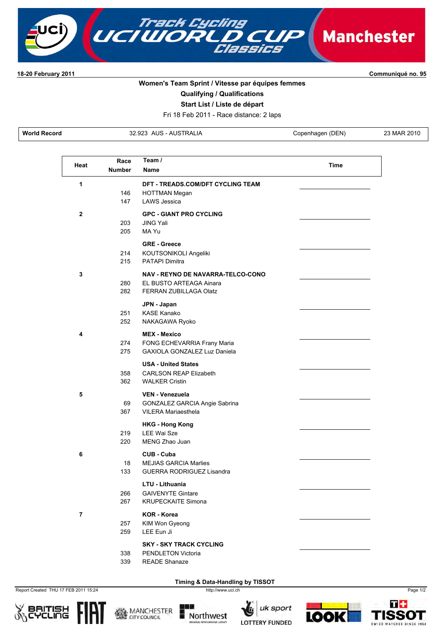

**1820 February 2011 Communiqué no. 95**

## **Women's Team Sprint / Vitesse par équipes femmes**

**Qualifying / Qualifications**

**Start List / Liste de départ**

Fri 18 Feb 2011 - Race distance: 2 laps

**World Record** 32.923 AUS AUSTRALIA Copenhagen (DEN) 23 MAR 2010

| Heat         | Race          | Team /                                                                                 | Time |
|--------------|---------------|----------------------------------------------------------------------------------------|------|
|              | <b>Number</b> | <b>Name</b>                                                                            |      |
| 1            | 146<br>147    | DFT - TREADS.COM/DFT CYCLING TEAM<br><b>HOTTMAN Megan</b><br><b>LAWS Jessica</b>       |      |
| $\mathbf{2}$ | 203<br>205    | <b>GPC - GIANT PRO CYCLING</b><br><b>JING Yali</b><br>MA Yu                            |      |
|              | 214<br>215    | <b>GRE - Greece</b><br>KOUTSONIKOLI Angeliki<br><b>PATAPI Dimitra</b>                  |      |
| 3            | 280<br>282    | NAV - REYNO DE NAVARRA-TELCO-CONO<br>EL BUSTO ARTEAGA Ainara<br>FERRAN ZUBILLAGA Olatz |      |
|              | 251<br>252    | JPN - Japan<br><b>KASE Kanako</b><br>NAKAGAWA Ryoko                                    |      |
| 4            | 274<br>275    | <b>MEX - Mexico</b><br>FONG ECHEVARRIA Frany Maria<br>GAXIOLA GONZALEZ Luz Daniela     |      |
|              | 358<br>362    | <b>USA - United States</b><br><b>CARLSON REAP Elizabeth</b><br><b>WALKER Cristin</b>   |      |
| 5            | 69<br>367     | <b>VEN - Venezuela</b><br>GONZALEZ GARCIA Angie Sabrina<br><b>VILERA Mariaesthela</b>  |      |
|              | 219<br>220    | <b>HKG - Hong Kong</b><br>LEE Wai Sze<br>MENG Zhao Juan                                |      |
| 6            | 18<br>133     | CUB - Cuba<br><b>MEJIAS GARCIA Marlies</b><br><b>GUERRA RODRIGUEZ Lisandra</b>         |      |
|              | 266<br>267    | LTU - Lithuania<br><b>GAIVENYTE Gintare</b><br>KRUPECKAITE Simona                      |      |
| 7            | 257<br>259    | KOR - Korea<br>KIM Won Gyeong<br>LEE Eun Ji                                            |      |
|              | 338<br>339    | <b>SKY - SKY TRACK CYCLING</b><br>PENDLETON Victoria<br><b>READE Shanaze</b>           |      |

**Timing & Data-Handling by TISSOT** 

Report Created THU 17 FEB 2011 15:24 http://www.uci.ch Page 1/2